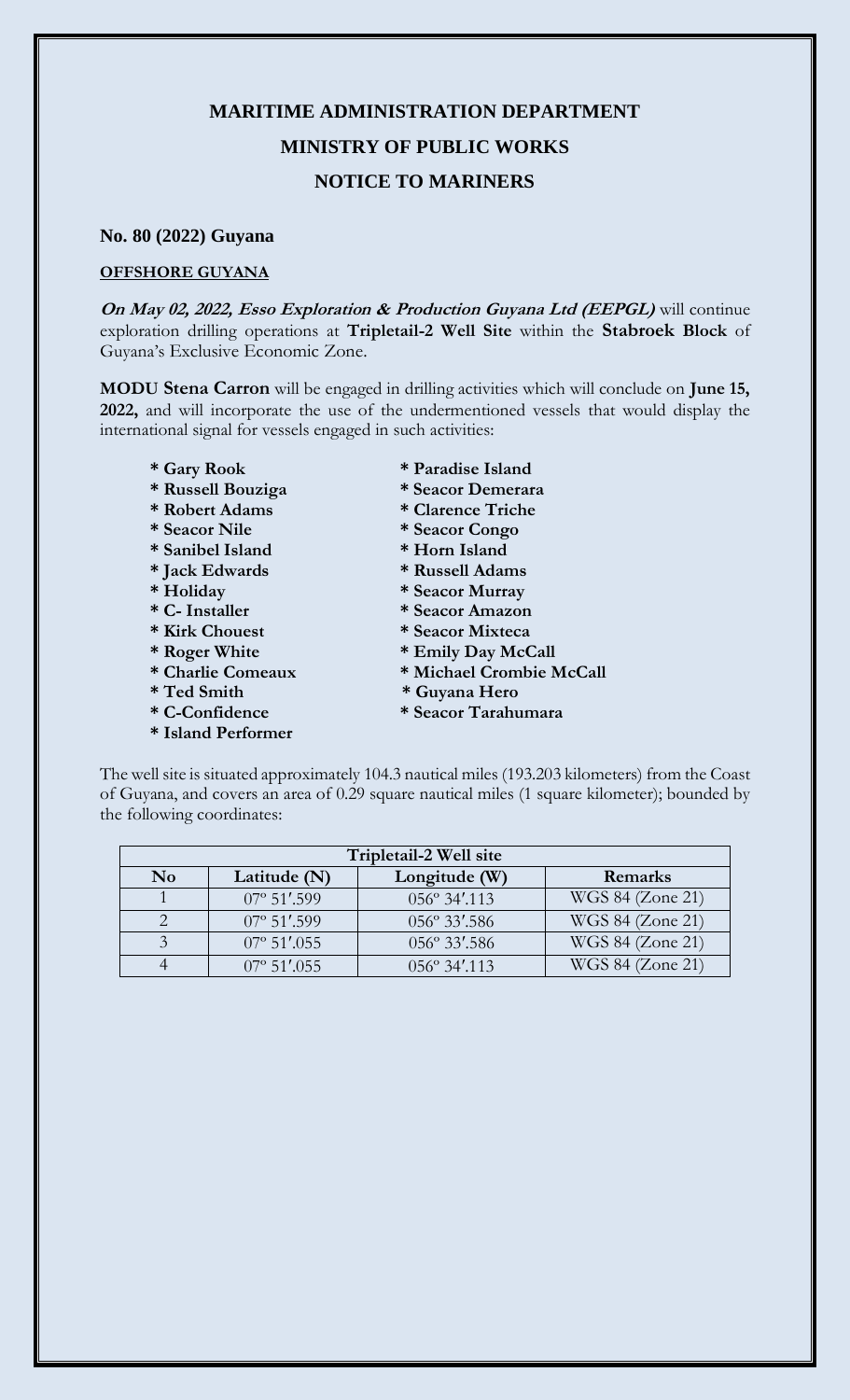## **MARITIME ADMINISTRATION DEPARTMENT MINISTRY OF PUBLIC WORKS NOTICE TO MARINERS**

## **No. 80 (2022) Guyana**

## **OFFSHORE GUYANA**

**On May 02, 2022, Esso Exploration & Production Guyana Ltd (EEPGL)** will continue exploration drilling operations at **Tripletail-2 Well Site** within the **Stabroek Block** of Guyana's Exclusive Economic Zone.

**MODU Stena Carron** will be engaged in drilling activities which will conclude on **June 15, 2022,** and will incorporate the use of the undermentioned vessels that would display the international signal for vessels engaged in such activities:

- 
- **\* Russell Bouziga \* Seacor Demerara**
- **\* Robert Adams \* Clarence Triche**
- 
- **\* Sanibel Island \* Horn Island**
- **\* Jack Edwards \* Russell Adams**
- 
- 
- 
- 
- 
- 
- 
- **\* Island Performer**
- **\* Gary Rook \* Paradise Island**
	-
	-
- **\* Seacor Nile \* Seacor Congo**
	-
	-
- **\* Holiday \* Seacor Murray**
- **\* C- Installer \* Seacor Amazon**
- **\* Kirk Chouest \* Seacor Mixteca** 
	-
- \* Roger White \* Emily Day McCall<br>\* Charlie Comeaux \* Michael Crombie N  $*$  Michael Crombie McCall
- **\* Ted Smith \* Guyana Hero**
- **\* C-Confidence \* Seacor Tarahumara**

The well site is situated approximately 104.3 nautical miles (193.203 kilometers) from the Coast of Guyana, and covers an area of 0.29 square nautical miles (1 square kilometer); bounded by the following coordinates:

| Tripletail-2 Well site |                       |                       |                  |
|------------------------|-----------------------|-----------------------|------------------|
| N <sub>0</sub>         | Latitude $(N)$        | Longitude (W)         | Remarks          |
|                        | $07^{\circ}$ 51'.599  | $056^{\circ}$ 34'.113 | WGS 84 (Zone 21) |
|                        | $07^{\circ}$ 51'.599  | 056° 33'.586          | WGS 84 (Zone 21) |
|                        | $07^{\circ}$ 51'.055  | 056° 33'.586          | WGS 84 (Zone 21) |
|                        | $07^{\circ}$ 51', 055 | $0.56^\circ$ 34'.113  | WGS 84 (Zone 21) |